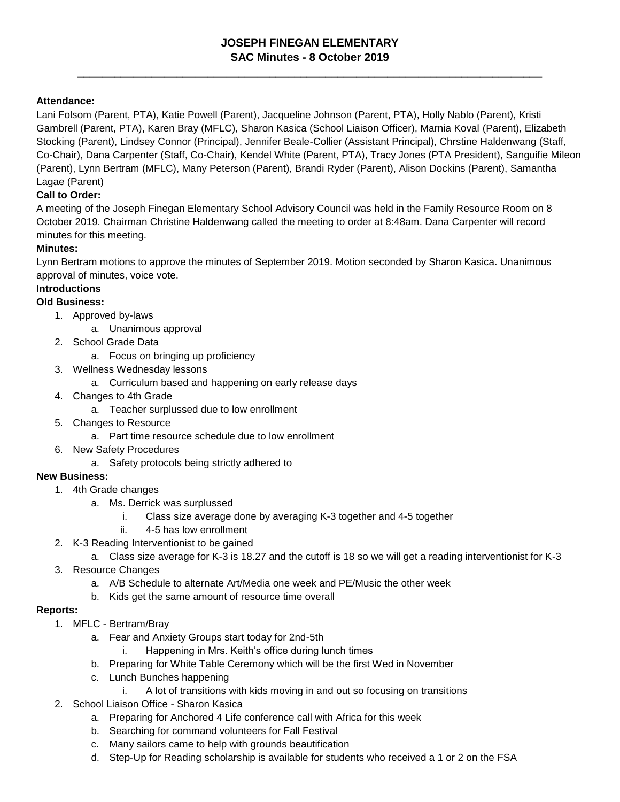# **JOSEPH FINEGAN ELEMENTARY SAC Minutes - 8 October 2019**

**\_\_\_\_\_\_\_\_\_\_\_\_\_\_\_\_\_\_\_\_\_\_\_\_\_\_\_\_\_\_\_\_\_\_\_\_\_\_\_\_\_\_\_\_\_\_\_\_\_\_\_\_\_\_\_\_\_\_\_\_\_\_\_\_\_\_\_\_\_\_\_\_\_\_\_**

## **Attendance:**

Lani Folsom (Parent, PTA), Katie Powell (Parent), Jacqueline Johnson (Parent, PTA), Holly Nablo (Parent), Kristi Gambrell (Parent, PTA), Karen Bray (MFLC), Sharon Kasica (School Liaison Officer), Marnia Koval (Parent), Elizabeth Stocking (Parent), Lindsey Connor (Principal), Jennifer Beale-Collier (Assistant Principal), Chrstine Haldenwang (Staff, Co-Chair), Dana Carpenter (Staff, Co-Chair), Kendel White (Parent, PTA), Tracy Jones (PTA President), Sanguifie Mileon (Parent), Lynn Bertram (MFLC), Many Peterson (Parent), Brandi Ryder (Parent), Alison Dockins (Parent), Samantha Lagae (Parent)

## **Call to Order:**

A meeting of the Joseph Finegan Elementary School Advisory Council was held in the Family Resource Room on 8 October 2019. Chairman Christine Haldenwang called the meeting to order at 8:48am. Dana Carpenter will record minutes for this meeting.

#### **Minutes:**

Lynn Bertram motions to approve the minutes of September 2019. Motion seconded by Sharon Kasica. Unanimous approval of minutes, voice vote.

#### **Introductions**

## **Old Business:**

- 1. Approved by-laws
	- a. Unanimous approval
- 2. School Grade Data
	- a. Focus on bringing up proficiency
- 3. Wellness Wednesday lessons
	- a. Curriculum based and happening on early release days
- 4. Changes to 4th Grade
	- a. Teacher surplussed due to low enrollment
- 5. Changes to Resource
	- a. Part time resource schedule due to low enrollment
- 6. New Safety Procedures
	- a. Safety protocols being strictly adhered to

#### **New Business:**

- 1. 4th Grade changes
	- a. Ms. Derrick was surplussed
		- i. Class size average done by averaging K-3 together and 4-5 together
		- ii. 4-5 has low enrollment
- 2. K-3 Reading Interventionist to be gained
	- a. Class size average for K-3 is 18.27 and the cutoff is 18 so we will get a reading interventionist for K-3
- 3. Resource Changes
	- a. A/B Schedule to alternate Art/Media one week and PE/Music the other week
	- b. Kids get the same amount of resource time overall

#### **Reports:**

- 1. MFLC Bertram/Bray
	- a. Fear and Anxiety Groups start today for 2nd-5th
		- i. Happening in Mrs. Keith's office during lunch times
	- b. Preparing for White Table Ceremony which will be the first Wed in November
	- c. Lunch Bunches happening
		- i. A lot of transitions with kids moving in and out so focusing on transitions
- 2. School Liaison Office Sharon Kasica
	- a. Preparing for Anchored 4 Life conference call with Africa for this week
	- b. Searching for command volunteers for Fall Festival
	- c. Many sailors came to help with grounds beautification
	- d. Step-Up for Reading scholarship is available for students who received a 1 or 2 on the FSA